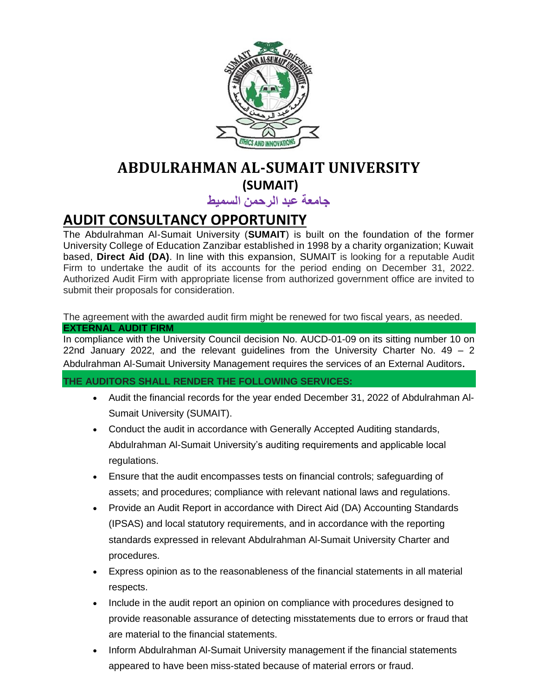

# **ABDULRAHMAN AL-SUMAIT UNIVERSITY (SUMAIT)**

**جامعة عبد الرحمن السميط**

# **AUDIT CONSULTANCY OPPORTUNITY**

The Abdulrahman Al-Sumait University (**SUMAIT**) is built on the foundation of the former University College of Education Zanzibar established in 1998 by a charity organization; Kuwait based, **Direct Aid (DA)**. In line with this expansion, SUMAIT is looking for a reputable Audit Firm to undertake the audit of its accounts for the period ending on December 31, 2022. Authorized Audit Firm with appropriate license from authorized government office are invited to submit their proposals for consideration.

The agreement with the awarded audit firm might be renewed for two fiscal years, as needed. **EXTERNAL AUDIT FIRM** 

In compliance with the University Council decision No. AUCD-01-09 on its sitting number 10 on 22nd January 2022, and the relevant quidelines from the University Charter No.  $49 - 2$ Abdulrahman Al-Sumait University Management requires the services of an External Auditors.

**THE AUDITORS SHALL RENDER THE FOLLOWING SERVICES:**

- Audit the financial records for the year ended December 31, 2022 of Abdulrahman Al-Sumait University (SUMAIT).
- Conduct the audit in accordance with Generally Accepted Auditing standards, Abdulrahman Al-Sumait University's auditing requirements and applicable local regulations.
- Ensure that the audit encompasses tests on financial controls; safeguarding of assets; and procedures; compliance with relevant national laws and regulations.
- Provide an Audit Report in accordance with Direct Aid (DA) Accounting Standards (IPSAS) and local statutory requirements, and in accordance with the reporting standards expressed in relevant Abdulrahman Al-Sumait University Charter and procedures.
- Express opinion as to the reasonableness of the financial statements in all material respects.
- Include in the audit report an opinion on compliance with procedures designed to provide reasonable assurance of detecting misstatements due to errors or fraud that are material to the financial statements.
- Inform Abdulrahman Al-Sumait University management if the financial statements appeared to have been miss-stated because of material errors or fraud.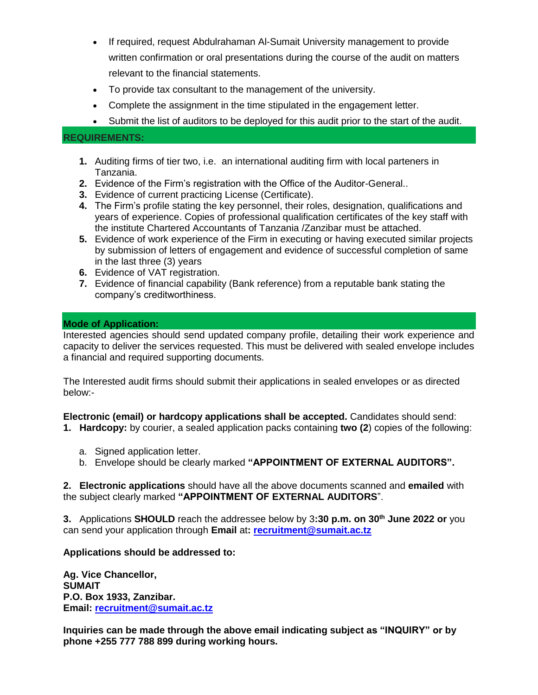- If required, request Abdulrahaman Al-Sumait University management to provide written confirmation or oral presentations during the course of the audit on matters relevant to the financial statements.
- To provide tax consultant to the management of the university.
- Complete the assignment in the time stipulated in the engagement letter.
- Submit the list of auditors to be deployed for this audit prior to the start of the audit.

### **REQUIREMENTS:**

- **1.** Auditing firms of tier two, i.e. an international auditing firm with local parteners in Tanzania.
- **2.** Evidence of the Firm's registration with the Office of the Auditor-General..
- **3.** Evidence of current practicing License (Certificate).
- **4.** The Firm's profile stating the key personnel, their roles, designation, qualifications and years of experience. Copies of professional qualification certificates of the key staff with the institute Chartered Accountants of Tanzania /Zanzibar must be attached.
- **5.** Evidence of work experience of the Firm in executing or having executed similar projects by submission of letters of engagement and evidence of successful completion of same in the last three (3) years
- **6.** Evidence of VAT registration.
- **7.** Evidence of financial capability (Bank reference) from a reputable bank stating the company's creditworthiness.

#### **Mode of Application:**

Interested agencies should send updated company profile, detailing their work experience and capacity to deliver the services requested. This must be delivered with sealed envelope includes a financial and required supporting documents.

The Interested audit firms should submit their applications in sealed envelopes or as directed below:-

**Electronic (email) or hardcopy applications shall be accepted.** Candidates should send:

- **1. Hardcopy:** by courier, a sealed application packs containing **two (2**) copies of the following:
	- a. Signed application letter.
	- b. Envelope should be clearly marked **"APPOINTMENT OF EXTERNAL AUDITORS".**

**2. Electronic applications** should have all the above documents scanned and **emailed** with the subject clearly marked **"APPOINTMENT OF EXTERNAL AUDITORS**".

**3.** Applications **SHOULD** reach the addressee below by 3**:30 p.m. on 30th June 2022 or** you can send your application through **Email** at**: [recruitment@sumait.ac.tz](mailto:recruitment@sumait.ac.tz)**

# **Applications should be addressed to:**

**Ag. Vice Chancellor, SUMAIT P.O. Box 1933, Zanzibar. Email: [recruitment@sumait.ac.tz](mailto:recruitment@sumait.ac.tz)**

**Inquiries can be made through the above email indicating subject as "INQUIRY" or by phone +255 777 788 899 during working hours.**